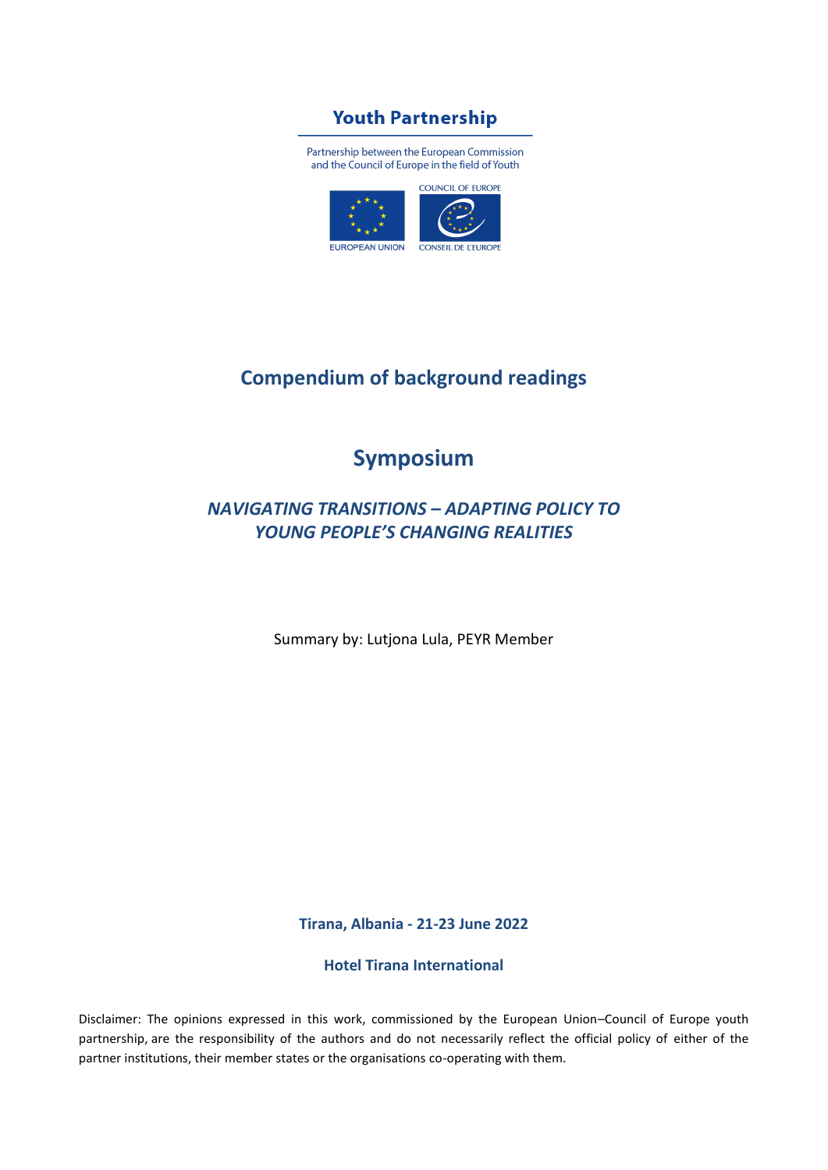## **Youth Partnership**

Partnership between the European Commission and the Council of Europe in the field of Youth



## **Compendium of background readings**

## **Symposium**

## *NAVIGATING TRANSITIONS – ADAPTING POLICY TO YOUNG PEOPLE'S CHANGING REALITIES*

Summary by: Lutjona Lula, PEYR Member

**Tirana, Albania - 21-23 June 2022**

**Hotel Tirana International**

Disclaimer: The opinions expressed in this work, commissioned by the European Union–Council of Europe youth partnership, are the responsibility of the authors and do not necessarily reflect the official policy of either of the partner institutions, their member states or the organisations co-operating with them.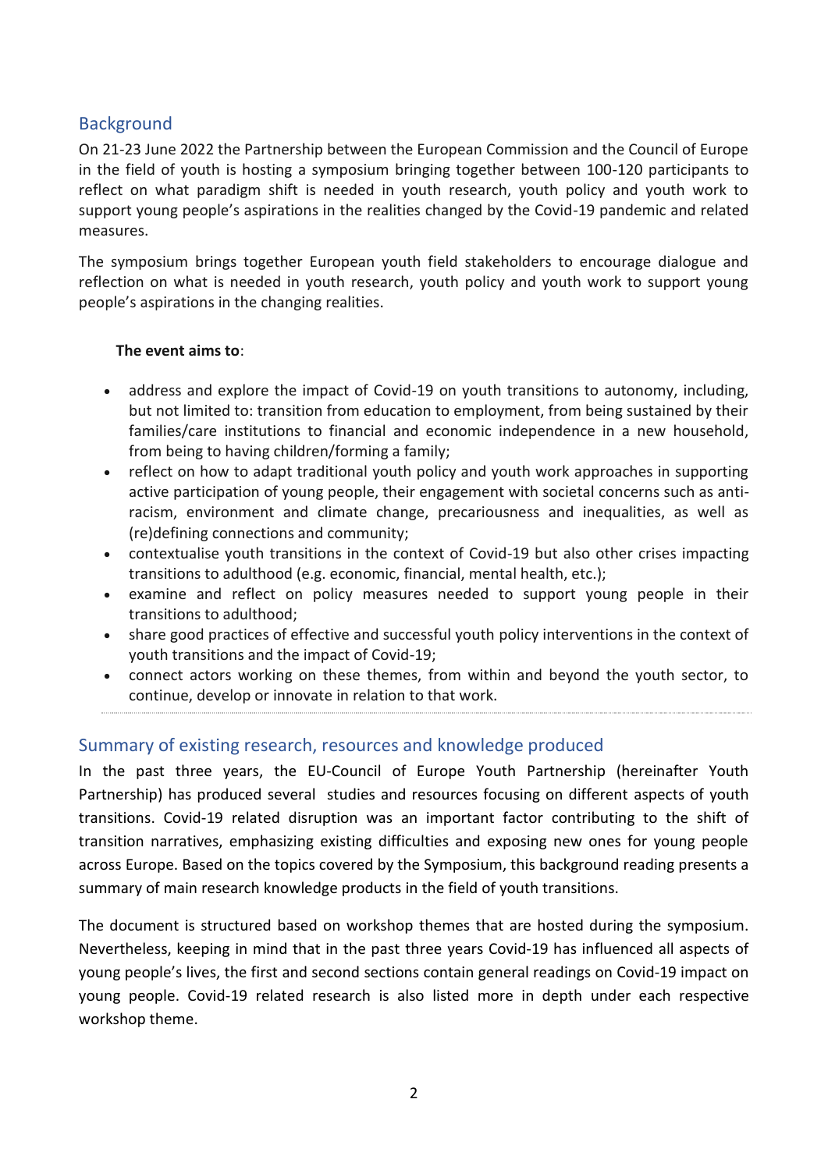### **Background**

On 21-23 June 2022 the Partnership between the European Commission and the Council of Europe in the field of youth is hosting a symposium bringing together between 100-120 participants to reflect on what paradigm shift is needed in youth research, youth policy and youth work to support young people's aspirations in the realities changed by the Covid-19 pandemic and related measures.

The symposium brings together European youth field stakeholders to encourage dialogue and reflection on what is needed in youth research, youth policy and youth work to support young people's aspirations in the changing realities.

#### **The event aims to**:

- address and explore the impact of Covid-19 on youth transitions to autonomy, including, but not limited to: transition from education to employment, from being sustained by their families/care institutions to financial and economic independence in a new household, from being to having children/forming a family;
- reflect on how to adapt traditional youth policy and youth work approaches in supporting active participation of young people, their engagement with societal concerns such as antiracism, environment and climate change, precariousness and inequalities, as well as (re)defining connections and community;
- contextualise youth transitions in the context of Covid-19 but also other crises impacting transitions to adulthood (e.g. economic, financial, mental health, etc.);
- examine and reflect on policy measures needed to support young people in their transitions to adulthood;
- share good practices of effective and successful youth policy interventions in the context of youth transitions and the impact of Covid-19;
- connect actors working on these themes, from within and beyond the youth sector, to continue, develop or innovate in relation to that work.

#### Summary of existing research, resources and knowledge produced

In the past three years, the EU-Council of Europe Youth Partnership (hereinafter Youth Partnership) has produced several studies and resources focusing on different aspects of youth transitions. Covid-19 related disruption was an important factor contributing to the shift of transition narratives, emphasizing existing difficulties and exposing new ones for young people across Europe. Based on the topics covered by the Symposium, this background reading presents a summary of main research knowledge products in the field of youth transitions.

The document is structured based on workshop themes that are hosted during the symposium. Nevertheless, keeping in mind that in the past three years Covid-19 has influenced all aspects of young people's lives, the first and second sections contain general readings on Covid-19 impact on young people. Covid-19 related research is also listed more in depth under each respective workshop theme.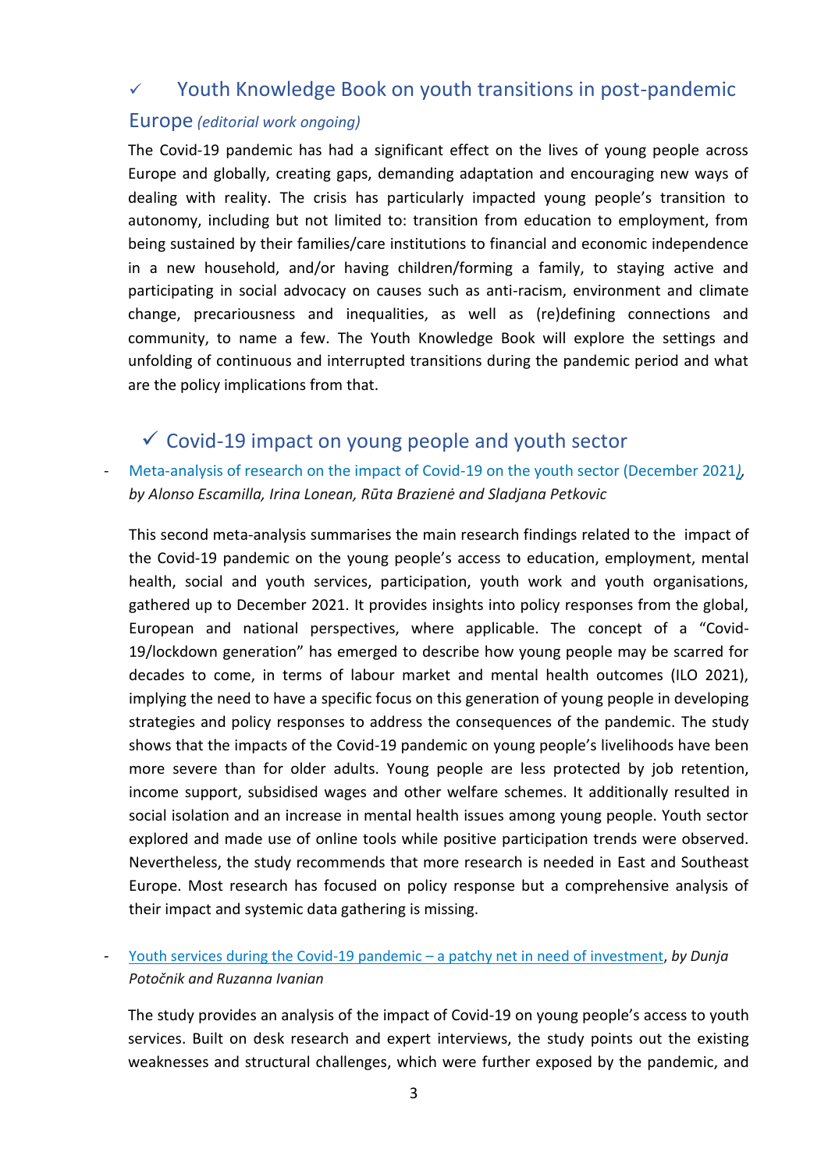## ✓ Youth Knowledge Book on youth transitions in post-pandemic

#### Europe *(editorial work ongoing)*

The Covid-19 pandemic has had a significant effect on the lives of young people across Europe and globally, creating gaps, demanding adaptation and encouraging new ways of dealing with reality. The crisis has particularly impacted young people's transition to autonomy, including but not limited to: transition from education to employment, from being sustained by their families/care institutions to financial and economic independence in a new household, and/or having children/forming a family, to staying active and participating in social advocacy on causes such as anti-racism, environment and climate change, precariousness and inequalities, as well as (re)defining connections and community, to name a few. The Youth Knowledge Book will explore the settings and unfolding of continuous and interrupted transitions during the pandemic period and what are the policy implications from that.

## $\checkmark$  Covid-19 impact on young people and youth sector

[Meta-analysis of research on the impact of Covid-19 on the youth sector \(December 2021](https://pjp-eu.coe.int/documents/42128013/72351197/Meta+analysis+of+research+on+the+Impact+of+Covid-19+on+the+youth+sector%2C+12-2021.pdf/de8544e4-a246-3b14-580b-7bbdb1d27973)), *by Alonso Escamilla, Irina Lonean, Rūta Brazienė and Sladjana Petkovic*

This second meta-analysis summarises the main research findings related to the impact of the Covid-19 pandemic on the young people's access to education, employment, mental health, social and youth services, participation, youth work and youth organisations, gathered up to December 2021. It provides insights into policy responses from the global, European and national perspectives, where applicable. The concept of a "Covid-19/lockdown generation" has emerged to describe how young people may be scarred for decades to come, in terms of labour market and mental health outcomes (ILO 2021), implying the need to have a specific focus on this generation of young people in developing strategies and policy responses to address the consequences of the pandemic. The study shows that the impacts of the Covid-19 pandemic on young people's livelihoods have been more severe than for older adults. Young people are less protected by job retention, income support, subsidised wages and other welfare schemes. It additionally resulted in social isolation and an increase in mental health issues among young people. Youth sector explored and made use of online tools while positive participation trends were observed. Nevertheless, the study recommends that more research is needed in East and Southeast Europe. Most research has focused on policy response but a comprehensive analysis of their impact and systemic data gathering is missing.

#### - [Youth services during the Covid-19 pandemic](https://pjp-eu.coe.int/documents/42128013/72351197/Access+to+youth+services+during+Covid-19.pdf/f8c8274e-475f-c50d-fe01-e51d07ba6fa5) – a patchy net in need of investment, *by Dunja Potočnik and Ruzanna Ivanian*

The study provides an analysis of the impact of Covid-19 on young people's access to youth services. Built on desk research and expert interviews, the study points out the existing weaknesses and structural challenges, which were further exposed by the pandemic, and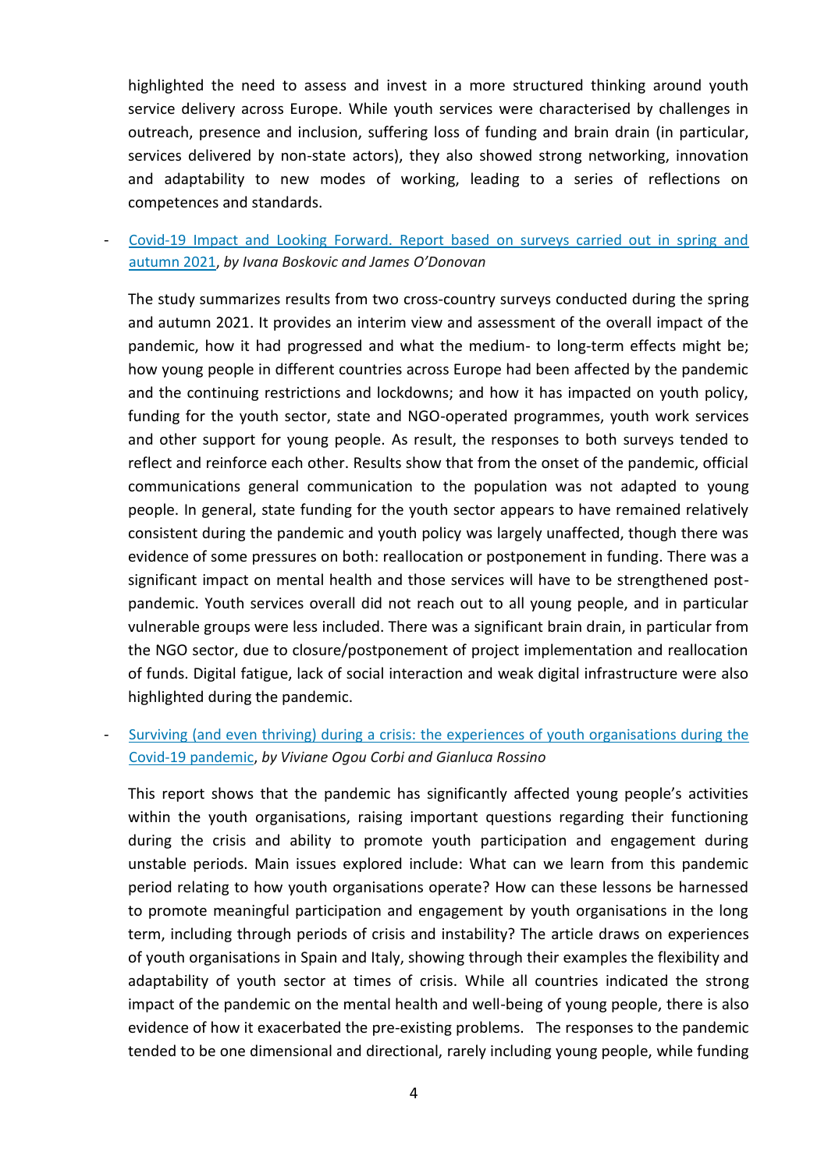highlighted the need to assess and invest in a more structured thinking around youth service delivery across Europe. While youth services were characterised by challenges in outreach, presence and inclusion, suffering loss of funding and brain drain (in particular, services delivered by non-state actors), they also showed strong networking, innovation and adaptability to new modes of working, leading to a series of reflections on competences and standards.

- [Covid-19 Impact and Looking Forward. Report based on surveys carried out in spring and](https://pjp-eu.coe.int/documents/42128013/72351197/Cross+country+Report.pdf/535837a8-7c23-b48b-b6c0-001f1852b065)  [autumn 2021,](https://pjp-eu.coe.int/documents/42128013/72351197/Cross+country+Report.pdf/535837a8-7c23-b48b-b6c0-001f1852b065) *by Ivana Boskovic and James O'Donovan*

The study summarizes results from two cross-country surveys conducted during the spring and autumn 2021. It provides an interim view and assessment of the overall impact of the pandemic, how it had progressed and what the medium- to long-term effects might be; how young people in different countries across Europe had been affected by the pandemic and the continuing restrictions and lockdowns; and how it has impacted on youth policy, funding for the youth sector, state and NGO-operated programmes, youth work services and other support for young people. As result, the responses to both surveys tended to reflect and reinforce each other. Results show that from the onset of the pandemic, official communications general communication to the population was not adapted to young people. In general, state funding for the youth sector appears to have remained relatively consistent during the pandemic and youth policy was largely unaffected, though there was evidence of some pressures on both: reallocation or postponement in funding. There was a significant impact on mental health and those services will have to be strengthened postpandemic. Youth services overall did not reach out to all young people, and in particular vulnerable groups were less included. There was a significant brain drain, in particular from the NGO sector, due to closure/postponement of project implementation and reallocation of funds. Digital fatigue, lack of social interaction and weak digital infrastructure were also highlighted during the pandemic.

Surviving (and even thriving) during a crisis: the experiences of youth organisations during the [Covid-19 pandemic,](https://pjp-eu.coe.int/documents/42128013/121425749/POY+youth+organisations+and+Covid-19+Ogou+Rossino.pdf/5029a213-fd7e-1560-09d5-766e002f0589) *by Viviane Ogou Corbi and Gianluca Rossino*

This report shows that the pandemic has significantly affected young people's activities within the youth organisations, raising important questions regarding their functioning during the crisis and ability to promote youth participation and engagement during unstable periods. Main issues explored include: What can we learn from this pandemic period relating to how youth organisations operate? How can these lessons be harnessed to promote meaningful participation and engagement by youth organisations in the long term, including through periods of crisis and instability? The article draws on experiences of youth organisations in Spain and Italy, showing through their examples the flexibility and adaptability of youth sector at times of crisis. While all countries indicated the strong impact of the pandemic on the mental health and well-being of young people, there is also evidence of how it exacerbated the pre-existing problems. The responses to the pandemic tended to be one dimensional and directional, rarely including young people, while funding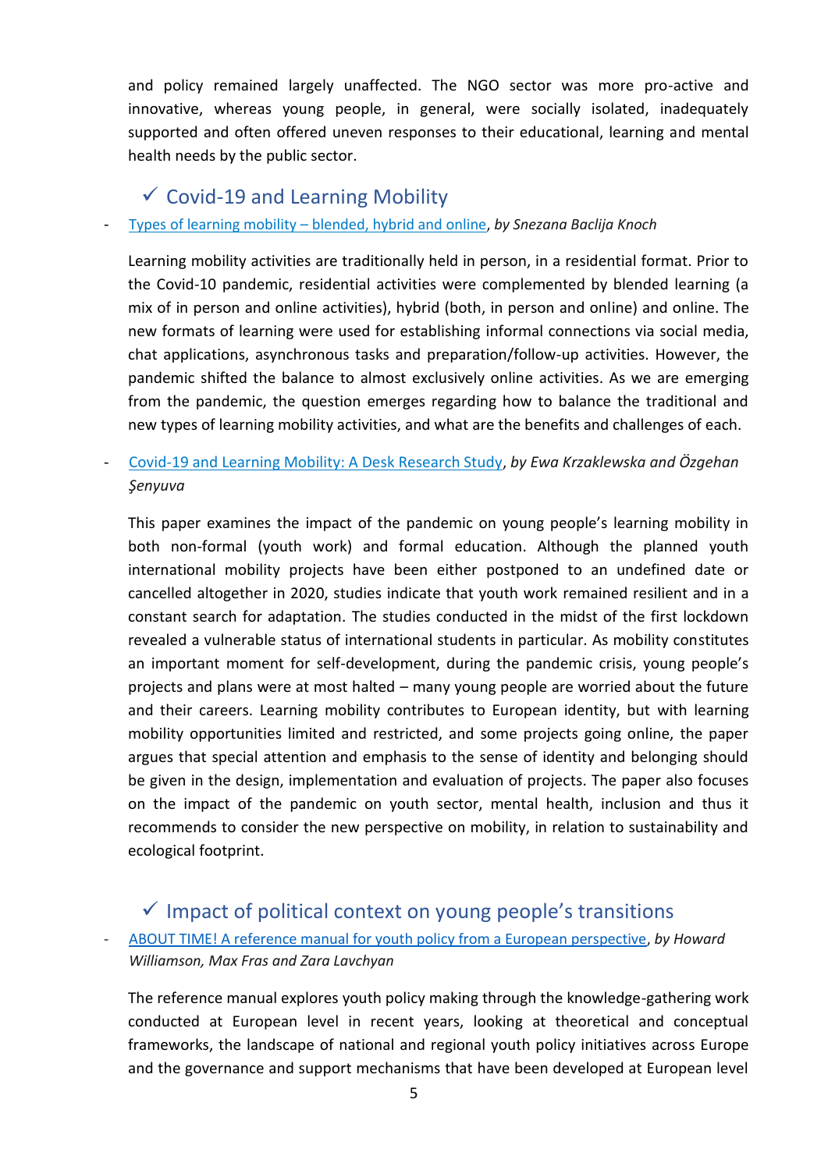and policy remained largely unaffected. The NGO sector was more pro-active and innovative, whereas young people, in general, were socially isolated, inadequately supported and often offered uneven responses to their educational, learning and mental health needs by the public sector.

## $\checkmark$  Covid-19 and Learning Mobility

#### - Types of learning mobility – [blended, hybrid and online,](https://pjp-eu.coe.int/documents/42128013/47262316/EPLM+Types+of+learning+mobility.pdf/ed0a65cf-b615-f0ab-7f0f-8e06fd78a388) *by Snezana Baclija Knoch*

Learning mobility activities are traditionally held in person, in a residential format. Prior to the Covid-10 pandemic, residential activities were complemented by blended learning (a mix of in person and online activities), hybrid (both, in person and online) and online. The new formats of learning were used for establishing informal connections via social media, chat applications, asynchronous tasks and preparation/follow-up activities. However, the pandemic shifted the balance to almost exclusively online activities. As we are emerging from the pandemic, the question emerges regarding how to balance the traditional and new types of learning mobility activities, and what are the benefits and challenges of each.

- [Covid-19 and Learning Mobility: A Desk Research Study,](https://pjp-eu.coe.int/documents/42128013/72351197/Covid-19-pandemic-and-Learning-Mobility.pdf/1092db65-9413-6eea-63bb-9ecce8282220) *by Ewa Krzaklewska and Özgehan Şenyuva*

This paper examines the impact of the pandemic on young people's learning mobility in both non-formal (youth work) and formal education. Although the planned youth international mobility projects have been either postponed to an undefined date or cancelled altogether in 2020, studies indicate that youth work remained resilient and in a constant search for adaptation. The studies conducted in the midst of the first lockdown revealed a vulnerable status of international students in particular. As mobility constitutes an important moment for self-development, during the pandemic crisis, young people's projects and plans were at most halted – many young people are worried about the future and their careers. Learning mobility contributes to European identity, but with learning mobility opportunities limited and restricted, and some projects going online, the paper argues that special attention and emphasis to the sense of identity and belonging should be given in the design, implementation and evaluation of projects. The paper also focuses on the impact of the pandemic on youth sector, mental health, inclusion and thus it recommends to consider the new perspective on mobility, in relation to sustainability and ecological footprint.

## $\checkmark$  Impact of political context on young people's transitions

#### - [ABOUT TIME! A reference manual for youth policy from a European perspective,](https://pjp-eu.coe.int/documents/42128013/47261623/Youth+policy+manual+2021+WEB.pdf/32a8859d-ee44-cbb8-016b-0aa3928a4c99) *by Howard Williamson, Max Fras and Zara Lavchyan*

The reference manual explores youth policy making through the knowledge-gathering work conducted at European level in recent years, looking at theoretical and conceptual frameworks, the landscape of national and regional youth policy initiatives across Europe and the governance and support mechanisms that have been developed at European level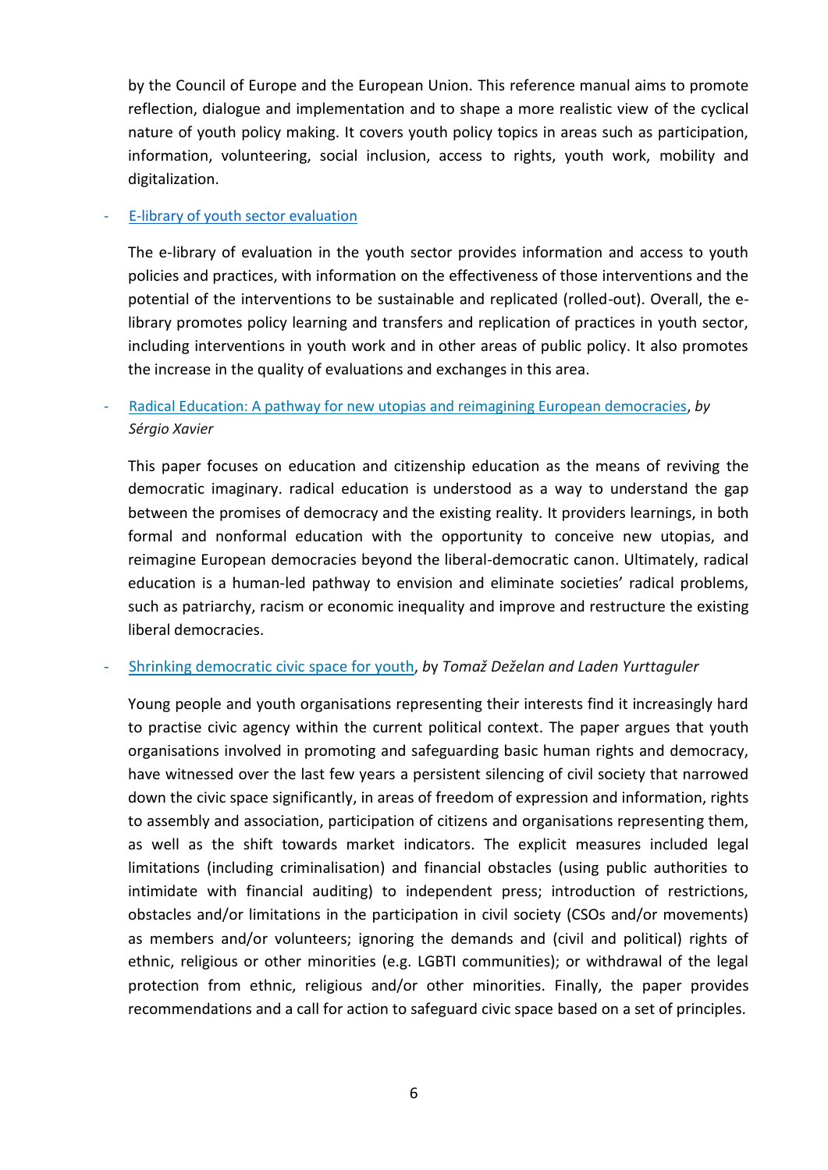by the Council of Europe and the European Union. This reference manual aims to promote reflection, dialogue and implementation and to shape a more realistic view of the cyclical nature of youth policy making. It covers youth policy topics in areas such as participation, information, volunteering, social inclusion, access to rights, youth work, mobility and digitalization.

#### [E-library of youth sector evaluation](https://pjp-eu.coe.int/en/web/youth-partnership/e-library-youth-sector-evaluation)

The e-library of evaluation in the youth sector provides information and access to youth policies and practices, with information on the effectiveness of those interventions and the potential of the interventions to be sustainable and replicated (rolled-out). Overall, the elibrary promotes policy learning and transfers and replication of practices in youth sector, including interventions in youth work and in other areas of public policy. It also promotes the increase in the quality of evaluations and exchanges in this area.

#### - [Radical Education: A pathway for new utopias and reimagining European democracies,](https://pjp-eu.coe.int/documents/42128013/47262637/Radical_education_a_pathway_for_new_utopias_and_reimagining_european_democracies_sergio_xavier.pdf/a4d87fe1-3685-0b14-67ff-ac77ef024c40) *by Sérgio Xavier*

This paper focuses on education and citizenship education as the means of reviving the democratic imaginary. radical education is understood as a way to understand the gap between the promises of democracy and the existing reality. It providers learnings, in both formal and nonformal education with the opportunity to conceive new utopias, and reimagine European democracies beyond the liberal-democratic canon. Ultimately, radical education is a human-led pathway to envision and eliminate societies' radical problems, such as patriarchy, racism or economic inequality and improve and restructure the existing liberal democracies.

#### - [Shrinking democratic civic](https://pjp-eu.coe.int/documents/42128013/59895423/TDLY_CSYP.pdf/cb8643c1-2707-0f1b-3f81-f13704dc9081) space for youth, *b*y *Tomaž Deželan and Laden Yurttaguler*

Young people and youth organisations representing their interests find it increasingly hard to practise civic agency within the current political context. The paper argues that youth organisations involved in promoting and safeguarding basic human rights and democracy, have witnessed over the last few years a persistent silencing of civil society that narrowed down the civic space significantly, in areas of freedom of expression and information, rights to assembly and association, participation of citizens and organisations representing them, as well as the shift towards market indicators. The explicit measures included legal limitations (including criminalisation) and financial obstacles (using public authorities to intimidate with financial auditing) to independent press; introduction of restrictions, obstacles and/or limitations in the participation in civil society (CSOs and/or movements) as members and/or volunteers; ignoring the demands and (civil and political) rights of ethnic, religious or other minorities (e.g. LGBTI communities); or withdrawal of the legal protection from ethnic, religious and/or other minorities. Finally, the paper provides recommendations and a call for action to safeguard civic space based on a set of principles.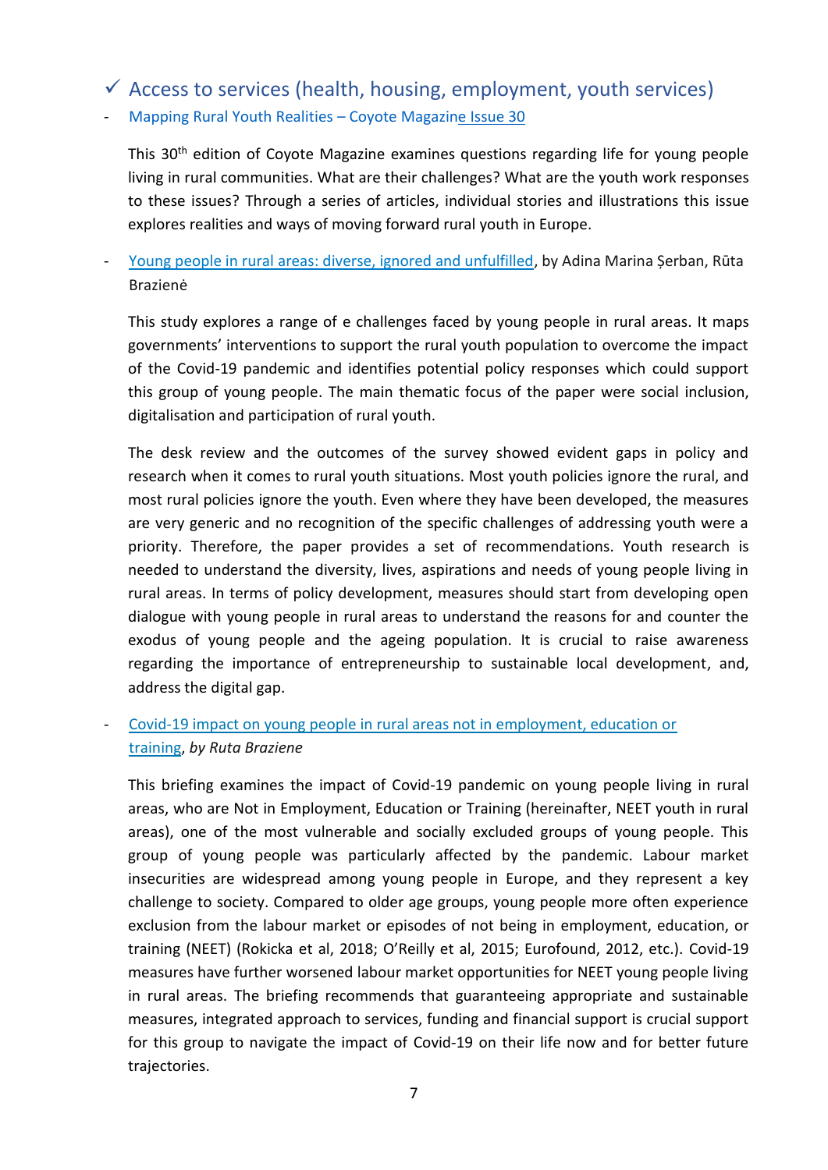# $\checkmark$  Access to services (health, housing, employment, youth services)

- [Mapping Rural Youth Realities](https://pjp-eu.coe.int/en/web/coyote-magazine/issue-30) – Coyote Magazine Issue 30

This 30<sup>th</sup> edition of Coyote Magazine examines questions regarding life for young people living in rural communities. What are their challenges? What are the youth work responses to these issues? Through a series of articles, individual stories and illustrations this issue explores realities and ways of moving forward rural youth in Europe.

- [Young people in rural areas: diverse, ignored and unfulfilled,](https://pjp-eu.coe.int/documents/42128013/106317733/Rural-youth-study.pdf/1fde9ee6-48ce-a2f7-2985-124b44ae46e7) by Adina Marina Șerban, Rūta Brazienė

This study explores a range of e challenges faced by young people in rural areas. It maps governments' interventions to support the rural youth population to overcome the impact of the Covid-19 pandemic and identifies potential policy responses which could support this group of young people. The main thematic focus of the paper were social inclusion, digitalisation and participation of rural youth.

The desk review and the outcomes of the survey showed evident gaps in policy and research when it comes to rural youth situations. Most youth policies ignore the rural, and most rural policies ignore the youth. Even where they have been developed, the measures are very generic and no recognition of the specific challenges of addressing youth were a priority. Therefore, the paper provides a set of recommendations. Youth research is needed to understand the diversity, lives, aspirations and needs of young people living in rural areas. In terms of policy development, measures should start from developing open dialogue with young people in rural areas to understand the reasons for and counter the exodus of young people and the ageing population. It is crucial to raise awareness regarding the importance of entrepreneurship to sustainable local development, and, address the digital gap.

### - [Covid-19 impact on young people in rural areas not in employment, education or](https://pjp-eu.coe.int/documents/42128013/72351197/Briefing+5+on+the+Impact+of+Covid-19+on+rural+NEET+youth.pdf/0cb50800-91c7-dc01-a501-78ea16da307f)  [training,](https://pjp-eu.coe.int/documents/42128013/72351197/Briefing+5+on+the+Impact+of+Covid-19+on+rural+NEET+youth.pdf/0cb50800-91c7-dc01-a501-78ea16da307f) *by Ruta Braziene*

This briefing examines the impact of Covid-19 pandemic on young people living in rural areas, who are Not in Employment, Education or Training (hereinafter, NEET youth in rural areas), one of the most vulnerable and socially excluded groups of young people. This group of young people was particularly affected by the pandemic. Labour market insecurities are widespread among young people in Europe, and they represent a key challenge to society. Compared to older age groups, young people more often experience exclusion from the labour market or episodes of not being in employment, education, or training (NEET) (Rokicka et al, 2018; O'Reilly et al, 2015; Eurofound, 2012, etc.). Covid-19 measures have further worsened labour market opportunities for NEET young people living in rural areas. The briefing recommends that guaranteeing appropriate and sustainable measures, integrated approach to services, funding and financial support is crucial support for this group to navigate the impact of Covid-19 on their life now and for better future trajectories.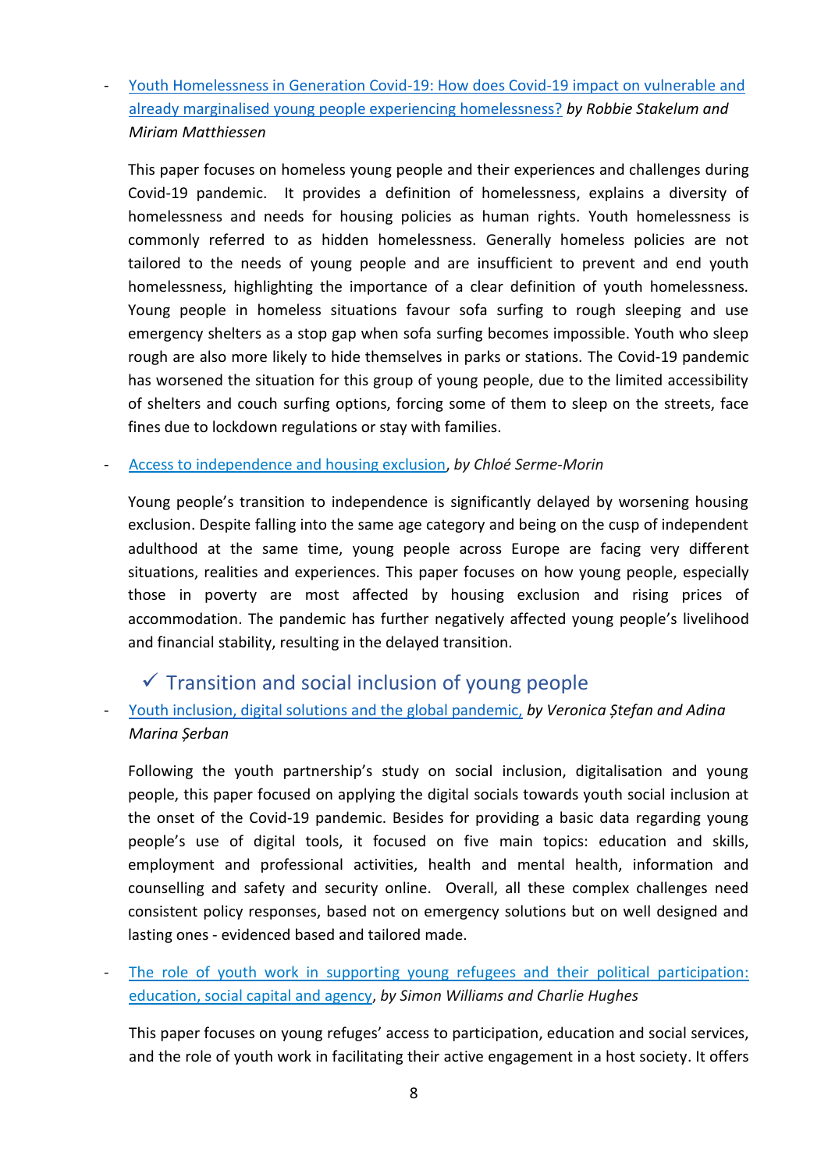Youth Homelessness in Generation Covid-19: How does Covid-19 impact on vulnerable and [already marginalised young people experiencing homelessness?](https://pjp-eu.coe.int/documents/42128013/64941298/Youth%2520Homelessness%2520in%2520Generation%2520Covid19%252026-05%2520final.pdf/ac5351f2-8b03-4283-251c-4f8c4e11230c) *by Robbie Stakelum and Miriam Matthiessen*

This paper focuses on homeless young people and their experiences and challenges during Covid-19 pandemic. It provides a definition of homelessness, explains a diversity of homelessness and needs for housing policies as human rights. Youth homelessness is commonly referred to as hidden homelessness. Generally homeless policies are not tailored to the needs of young people and are insufficient to prevent and end youth homelessness, highlighting the importance of a clear definition of youth homelessness. Young people in homeless situations favour sofa surfing to rough sleeping and use emergency shelters as a stop gap when sofa surfing becomes impossible. Youth who sleep rough are also more likely to hide themselves in parks or stations. The Covid-19 pandemic has worsened the situation for this group of young people, due to the limited accessibility of shelters and couch surfing options, forcing some of them to sleep on the streets, face fines due to lockdown regulations or stay with families.

#### - [Access to independence and housing exclusion,](https://pjp-eu.coe.int/documents/42128013/64941298/POY+4+-+Young+people%27s+housing.pdf/479215de-f558-33fe-5dad-d5eda7607d31) *by Chloé Serme-Morin*

Young people's transition to independence is significantly delayed by worsening housing exclusion. Despite falling into the same age category and being on the cusp of independent adulthood at the same time, young people across Europe are facing very different situations, realities and experiences. This paper focuses on how young people, especially those in poverty are most affected by housing exclusion and rising prices of accommodation. The pandemic has further negatively affected young people's livelihood and financial stability, resulting in the delayed transition.

## $\checkmark$  Transition and social inclusion of young people

## - [Youth inclusion, digital solutions and the global pandemic,](https://pjp-eu.coe.int/documents/42128013/63918992/POY%2520EYE%2520Digital%2520platforms%2520covid%252026%2520May%25202020.pdf/ebef686d-c741-9e35-e2c1-96fb299eb759) *by Veronica Ștefan and Adina Marina Șerban*

Following the youth partnership's study on social inclusion, digitalisation and young people, this paper focused on applying the digital socials towards youth social inclusion at the onset of the Covid-19 pandemic. Besides for providing a basic data regarding young people's use of digital tools, it focused on five main topics: education and skills, employment and professional activities, health and mental health, information and counselling and safety and security online. Overall, all these complex challenges need consistent policy responses, based not on emergency solutions but on well designed and lasting ones - evidenced based and tailored made.

The role of youth work in supporting young refugees and their political participation: [education, social capital and agency,](https://pjp-eu.coe.int/documents/42128013/121425749/POY+Young+Refugees+and+Political+Participation.pdf/56545c96-23b1-a276-43ea-44098e5012ac) *by Simon Williams and Charlie Hughes*

This paper focuses on young refuges' access to participation, education and social services, and the role of youth work in facilitating their active engagement in a host society. It offers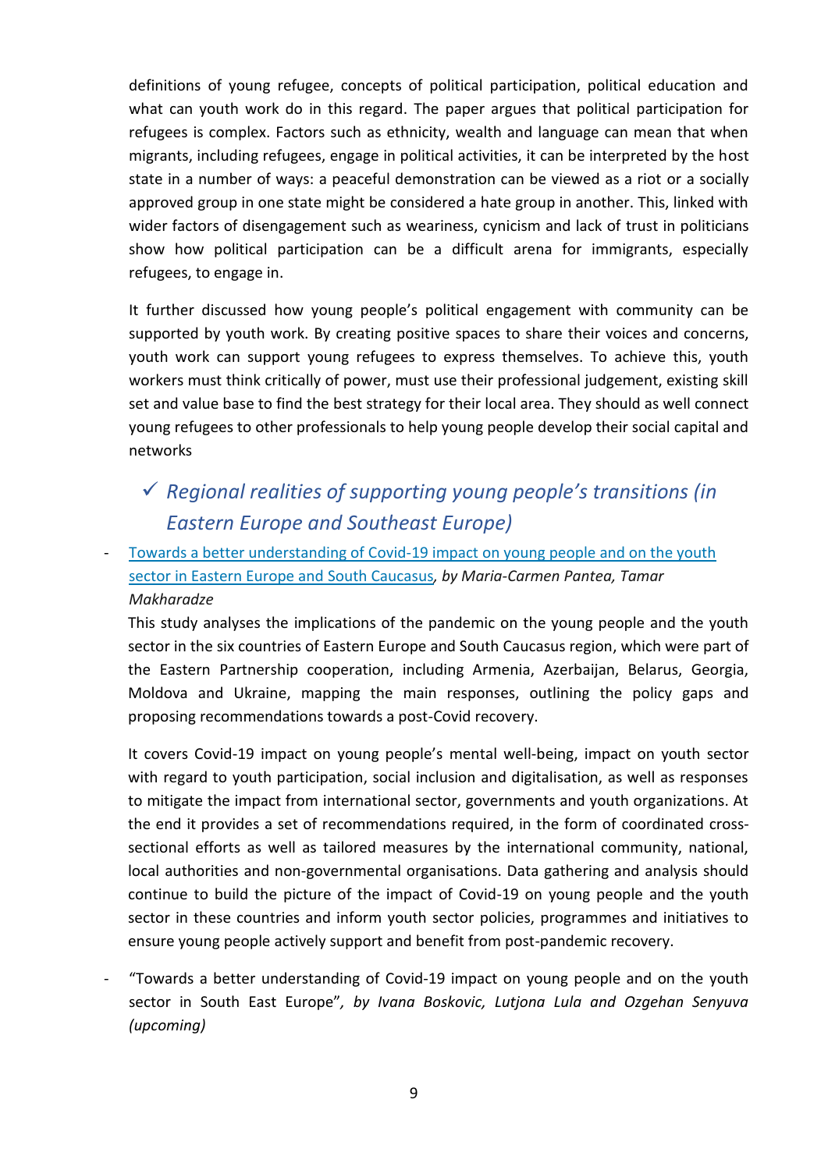definitions of young refugee, concepts of political participation, political education and what can youth work do in this regard. The paper argues that political participation for refugees is complex. Factors such as ethnicity, wealth and language can mean that when migrants, including refugees, engage in political activities, it can be interpreted by the host state in a number of ways: a peaceful demonstration can be viewed as a riot or a socially approved group in one state might be considered a hate group in another. This, linked with wider factors of disengagement such as weariness, cynicism and lack of trust in politicians show how political participation can be a difficult arena for immigrants, especially refugees, to engage in.

It further discussed how young people's political engagement with community can be supported by youth work. By creating positive spaces to share their voices and concerns, youth work can support young refugees to express themselves. To achieve this, youth workers must think critically of power, must use their professional judgement, existing skill set and value base to find the best strategy for their local area. They should as well connect young refugees to other professionals to help young people develop their social capital and networks

- ✓ *Regional realities of supporting young people's transitions (in Eastern Europe and Southeast Europe)*
- Towards a better understanding of Covid-19 impact on young people and on the youth [sector in Eastern Europe and South Caucasus](https://pjp-eu.coe.int/documents/42128013/72351197/Revised_Covid+impact+EECA.pdf/9cf17487-f37d-30cd-99e6-c4f3300d21f1)*, by Maria-Carmen Pantea, Tamar Makharadze*

This study analyses the implications of the pandemic on the young people and the youth sector in the six countries of Eastern Europe and South Caucasus region, which were part of the Eastern Partnership cooperation, including Armenia, Azerbaijan, Belarus, Georgia, Moldova and Ukraine, mapping the main responses, outlining the policy gaps and proposing recommendations towards a post-Covid recovery.

It covers Covid-19 impact on young people's mental well-being, impact on youth sector with regard to youth participation, social inclusion and digitalisation, as well as responses to mitigate the impact from international sector, governments and youth organizations. At the end it provides a set of recommendations required, in the form of coordinated crosssectional efforts as well as tailored measures by the international community, national, local authorities and non-governmental organisations. Data gathering and analysis should continue to build the picture of the impact of Covid-19 on young people and the youth sector in these countries and inform youth sector policies, programmes and initiatives to ensure young people actively support and benefit from post-pandemic recovery.

"Towards a better understanding of Covid-19 impact on young people and on the youth sector in South East Europe"*, by Ivana Boskovic, Lutjona Lula and Ozgehan Senyuva (upcoming)*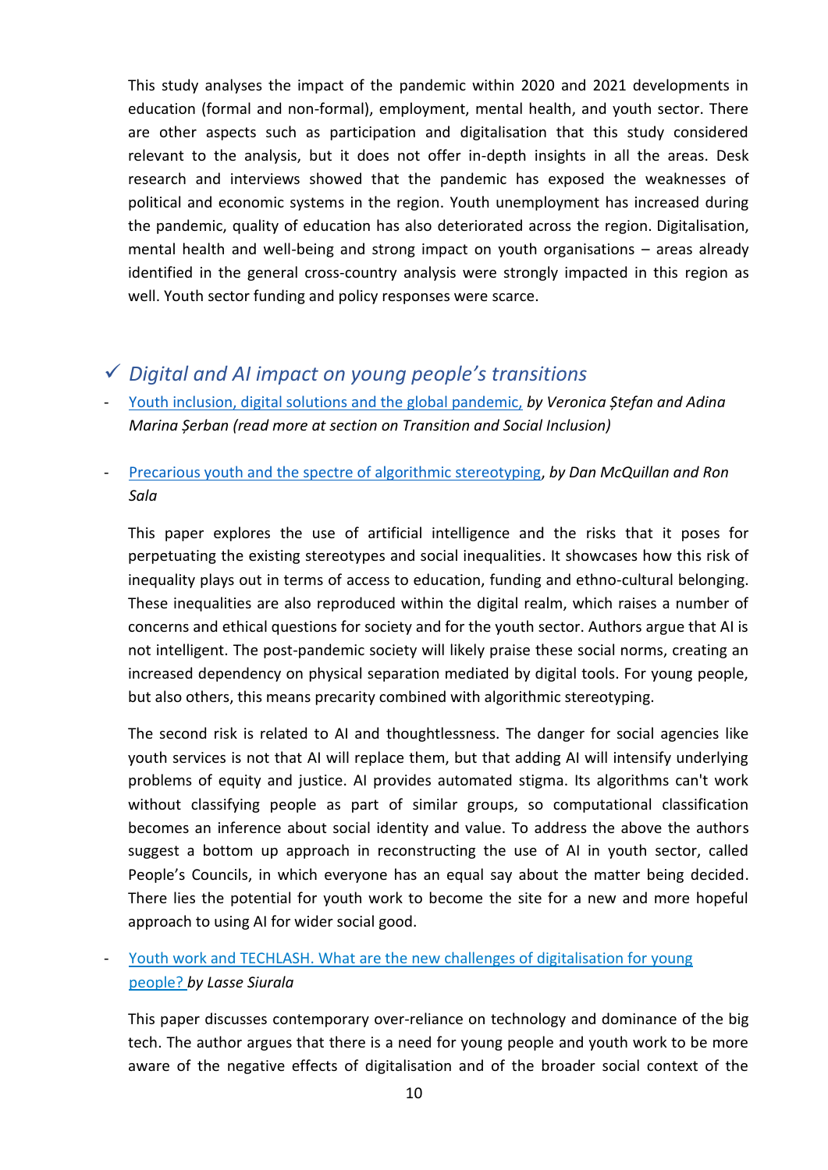This study analyses the impact of the pandemic within 2020 and 2021 developments in education (formal and non-formal), employment, mental health, and youth sector. There are other aspects such as participation and digitalisation that this study considered relevant to the analysis, but it does not offer in-depth insights in all the areas. Desk research and interviews showed that the pandemic has exposed the weaknesses of political and economic systems in the region. Youth unemployment has increased during the pandemic, quality of education has also deteriorated across the region. Digitalisation, mental health and well-being and strong impact on youth organisations – areas already identified in the general cross-country analysis were strongly impacted in this region as well. Youth sector funding and policy responses were scarce.

## ✓ *Digital and AI impact on young people's transitions*

- [Youth inclusion, digital solutions and the global pandemic,](https://pjp-eu.coe.int/documents/42128013/63918992/POY%2520EYE%2520Digital%2520platforms%2520covid%252026%2520May%25202020.pdf/ebef686d-c741-9e35-e2c1-96fb299eb759) *by Veronica Ștefan and Adina Marina Șerban (read more at section on Transition and Social Inclusion)*
- [Precarious youth and the spectre of algorithmic stereotyping,](https://pjp-eu.coe.int/documents/42128013/63918992/Precarious-youth-and-the-spectre-of-algorithmic-stereotyping.pdf/a319790a-2804-d16a-bede-f0f600cce2e1) *by Dan McQuillan and Ron Sala*

This paper explores the use of artificial intelligence and the risks that it poses for perpetuating the existing stereotypes and social inequalities. It showcases how this risk of inequality plays out in terms of access to education, funding and ethno-cultural belonging. These inequalities are also reproduced within the digital realm, which raises a number of concerns and ethical questions for society and for the youth sector. Authors argue that AI is not intelligent. The post-pandemic society will likely praise these social norms, creating an increased dependency on physical separation mediated by digital tools. For young people, but also others, this means precarity combined with algorithmic stereotyping.

The second risk is related to AI and thoughtlessness. The danger for social agencies like youth services is not that AI will replace them, but that adding AI will intensify underlying problems of equity and justice. AI provides automated stigma. Its algorithms can't work without classifying people as part of similar groups, so computational classification becomes an inference about social identity and value. To address the above the authors suggest a bottom up approach in reconstructing the use of AI in youth sector, called People's Councils, in which everyone has an equal say about the matter being decided. There lies the potential for youth work to become the site for a new and more hopeful approach to using AI for wider social good.

Youth work and TECHLASH. What are the new challenges of digitalisation for young people? *[by Lasse Siurala](https://pjp-eu.coe.int/documents/42128013/63918992/Techlash+LS+12-11-2020+LP.pdf/2be05469-3970-8ff8-dc2a-d8ba9eb39156)*

This paper discusses contemporary over-reliance on technology and dominance of the big tech. The author argues that there is a need for young people and youth work to be more aware of the negative effects of digitalisation and of the broader social context of the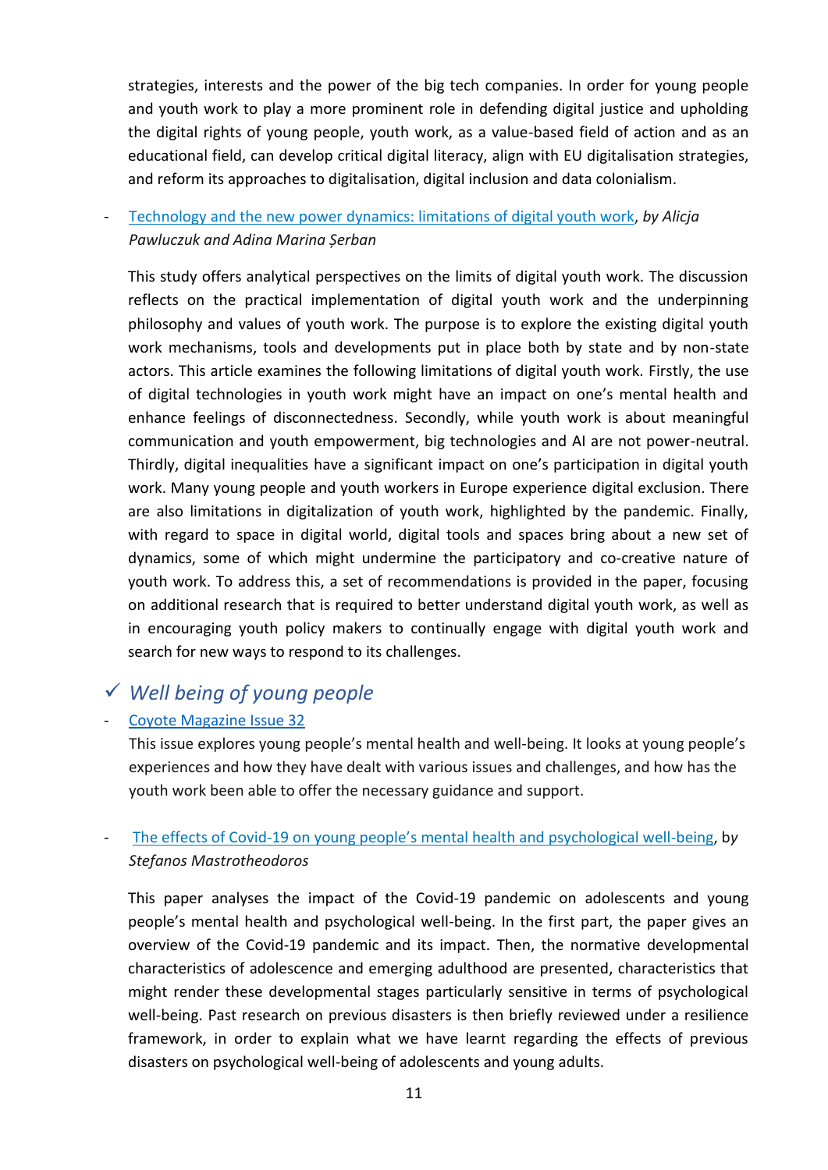strategies, interests and the power of the big tech companies. In order for young people and youth work to play a more prominent role in defending digital justice and upholding the digital rights of young people, youth work, as a value-based field of action and as an educational field, can develop critical digital literacy, align with EU digitalisation strategies, and reform its approaches to digitalisation, digital inclusion and data colonialism.

- [Technology and the new power dynamics: limitations of digital youth work,](https://pjp-eu.coe.int/documents/42128013/116591216/Limits+of+digital+youth+work.pdf/732ddd6a-15cb-02a6-c336-efa9aa8154c0) *by Alicja Pawluczuk and Adina Marina Șerban*

This study offers analytical perspectives on the limits of digital youth work. The discussion reflects on the practical implementation of digital youth work and the underpinning philosophy and values of youth work. The purpose is to explore the existing digital youth work mechanisms, tools and developments put in place both by state and by non-state actors. This article examines the following limitations of digital youth work. Firstly, the use of digital technologies in youth work might have an impact on one's mental health and enhance feelings of disconnectedness. Secondly, while youth work is about meaningful communication and youth empowerment, big technologies and AI are not power-neutral. Thirdly, digital inequalities have a significant impact on one's participation in digital youth work. Many young people and youth workers in Europe experience digital exclusion. There are also limitations in digitalization of youth work, highlighted by the pandemic. Finally, with regard to space in digital world, digital tools and spaces bring about a new set of dynamics, some of which might undermine the participatory and co-creative nature of youth work. To address this, a set of recommendations is provided in the paper, focusing on additional research that is required to better understand digital youth work, as well as in encouraging youth policy makers to continually engage with digital youth work and search for new ways to respond to its challenges.

## ✓ *Well being of young people*

#### - [Coyote Magazine Issue 32](https://pjp-eu.coe.int/en/web/coyote-magazine/issue-32)

This issue explores young people's mental health and well-being. It looks at young people's experiences and how they have dealt with various issues and challenges, and how has the youth work been able to offer the necessary guidance and support.

### - The effects of Covid-[19 on young people's mental health and psychological well](https://pjp-eu.coe.int/documents/42128013/72351197/Effects-COVID-Youth-Mental-Health-Psychological-Well-Being.pdf/b2bc0c32-9fd5-0816-bce5-da9289cfca8c)-being, b*y Stefanos Mastrotheodoros*

This paper analyses the impact of the Covid-19 pandemic on adolescents and young people's mental health and psychological well-being. In the first part, the paper gives an overview of the Covid-19 pandemic and its impact. Then, the normative developmental characteristics of adolescence and emerging adulthood are presented, characteristics that might render these developmental stages particularly sensitive in terms of psychological well-being. Past research on previous disasters is then briefly reviewed under a resilience framework, in order to explain what we have learnt regarding the effects of previous disasters on psychological well-being of adolescents and young adults.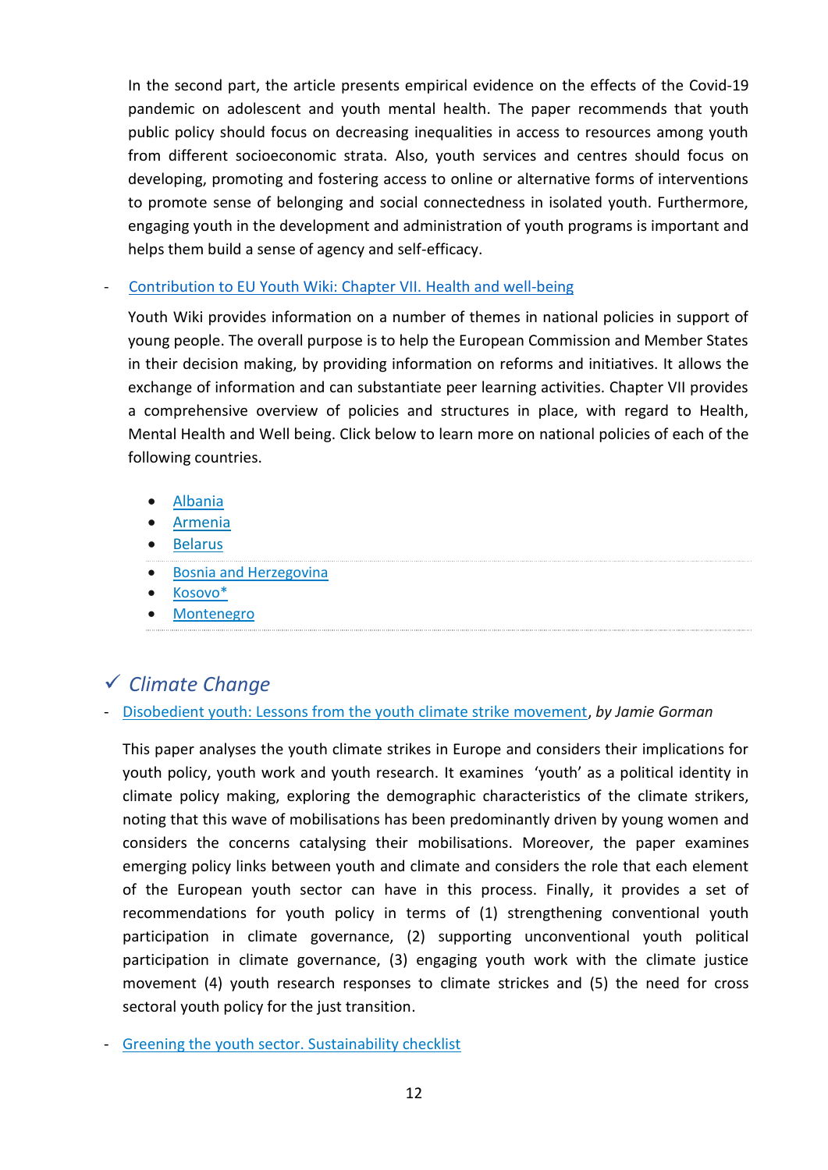In the second part, the article presents empirical evidence on the effects of the Covid-19 pandemic on adolescent and youth mental health. The paper recommends that youth public policy should focus on decreasing inequalities in access to resources among youth from different socioeconomic strata. Also, youth services and centres should focus on developing, promoting and fostering access to online or alternative forms of interventions to promote sense of belonging and social connectedness in isolated youth. Furthermore, engaging youth in the development and administration of youth programs is important and helps them build a sense of agency and self-efficacy.

#### - [Contribution to EU Youth Wiki: Chapter VII.](https://pjp-eu.coe.int/en/web/youth-partnership/contribution-eu-youth-wiki) Health and well-being

Youth Wiki provides information on a number of themes in national policies in support of young people. The overall purpose is to help the European Commission and Member States in their decision making, by providing information on reforms and initiatives. It allows the exchange of information and can substantiate peer learning activities. Chapter VII provides a comprehensive overview of policies and structures in place, with regard to Health, Mental Health and Well being. Click below to learn more on national policies of each of the following countries.

- [Albania](https://pjp-eu.coe.int/documents/42128013/113172485/YouthWiki_Chapter_7_Albania.pdf/8c32d240-9589-4ef7-a9a6-001eb145e664)
- [Armenia](https://pjp-eu.coe.int/documents/42128013/113172485/Armenia_HW_Ch7_22.pdf/c025f76c-1d1f-e177-69e5-d824c261f5e7)
- [Belarus](https://pjp-eu.coe.int/documents/42128013/113172485/Belarus_YW_Ch7.pdf/080b8ee7-8419-3aed-d91e-12a61a814a67)
- [Bosnia and Herzegovina](https://pjp-eu.coe.int/documents/42128013/113172485/Bosnia+and+Herzegovina_YW_Ch7.pdf/1ee8e615-791f-7c4d-dc9a-9b5a6d8b70be)
- [Kosovo\\*](https://pjp-eu.coe.int/documents/42128013/113172485/YouthWiki_Chapter_7_Kosovo.pdf/1f1ef207-93b0-cc2a-bb8b-b0c0536a8d30)
- [Montenegro](https://pjp-eu.coe.int/documents/42128013/113172485/YouthWiki_Chapter7_Montenegro.pdf/f248e7d7-dfc3-7cf3-fb84-adf6dd04e84e)

## ✓ *Climate Change*

#### - [Disobedient youth: Lessons from the youth climate strike movement,](https://pjp-eu.coe.int/documents/42128013/47261800/Gorman-J.-%282021%29-Disobedient-Youth-Lessons-from-the-Climate-Strikes.pdf/b1ec729d-ee2f-1e5d-9de3-a22b68e61bb8) *by Jamie Gorman*

This paper analyses the youth climate strikes in Europe and considers their implications for youth policy, youth work and youth research. It examines 'youth' as a political identity in climate policy making, exploring the demographic characteristics of the climate strikers, noting that this wave of mobilisations has been predominantly driven by young women and considers the concerns catalysing their mobilisations. Moreover, the paper examines emerging policy links between youth and climate and considers the role that each element of the European youth sector can have in this process. Finally, it provides a set of recommendations for youth policy in terms of (1) strengthening conventional youth participation in climate governance, (2) supporting unconventional youth political participation in climate governance, (3) engaging youth work with the climate justice movement (4) youth research responses to climate strickes and (5) the need for cross sectoral youth policy for the just transition.

- [Greening the youth sector. Sustainability checklist](https://pjp-eu.coe.int/documents/42128013/47261953/EUCOE+YP+Sustainability+Checklist+final.pdf/fd50d766-28a3-c119-bb29-06a0f33cc7c2)